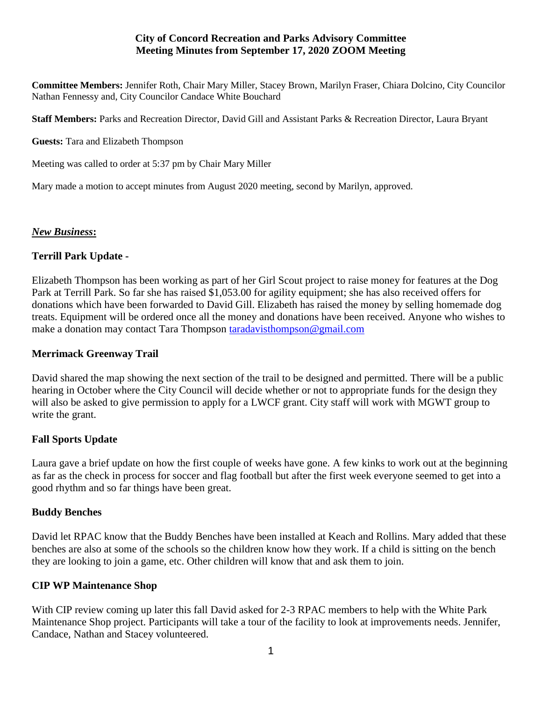## **City of Concord Recreation and Parks Advisory Committee Meeting Minutes from September 17, 2020 ZOOM Meeting**

**Committee Members:** Jennifer Roth, Chair Mary Miller, Stacey Brown, Marilyn Fraser, Chiara Dolcino, City Councilor Nathan Fennessy and, City Councilor Candace White Bouchard

**Staff Members:** Parks and Recreation Director, David Gill and Assistant Parks & Recreation Director, Laura Bryant

**Guests:** Tara and Elizabeth Thompson

Meeting was called to order at 5:37 pm by Chair Mary Miller

Mary made a motion to accept minutes from August 2020 meeting, second by Marilyn, approved.

### *New Business***:**

# **Terrill Park Update -**

Elizabeth Thompson has been working as part of her Girl Scout project to raise money for features at the Dog Park at Terrill Park. So far she has raised \$1,053.00 for agility equipment; she has also received offers for donations which have been forwarded to David Gill. Elizabeth has raised the money by selling homemade dog treats. Equipment will be ordered once all the money and donations have been received. Anyone who wishes to make a donation may contact Tara Thompson [taradavisthompson@gmail.com](mailto:taradavisthompson@gmail.com)

## **Merrimack Greenway Trail**

David shared the map showing the next section of the trail to be designed and permitted. There will be a public hearing in October where the City Council will decide whether or not to appropriate funds for the design they will also be asked to give permission to apply for a LWCF grant. City staff will work with MGWT group to write the grant.

# **Fall Sports Update**

Laura gave a brief update on how the first couple of weeks have gone. A few kinks to work out at the beginning as far as the check in process for soccer and flag football but after the first week everyone seemed to get into a good rhythm and so far things have been great.

#### **Buddy Benches**

David let RPAC know that the Buddy Benches have been installed at Keach and Rollins. Mary added that these benches are also at some of the schools so the children know how they work. If a child is sitting on the bench they are looking to join a game, etc. Other children will know that and ask them to join.

# **CIP WP Maintenance Shop**

With CIP review coming up later this fall David asked for 2-3 RPAC members to help with the White Park Maintenance Shop project. Participants will take a tour of the facility to look at improvements needs. Jennifer, Candace, Nathan and Stacey volunteered.